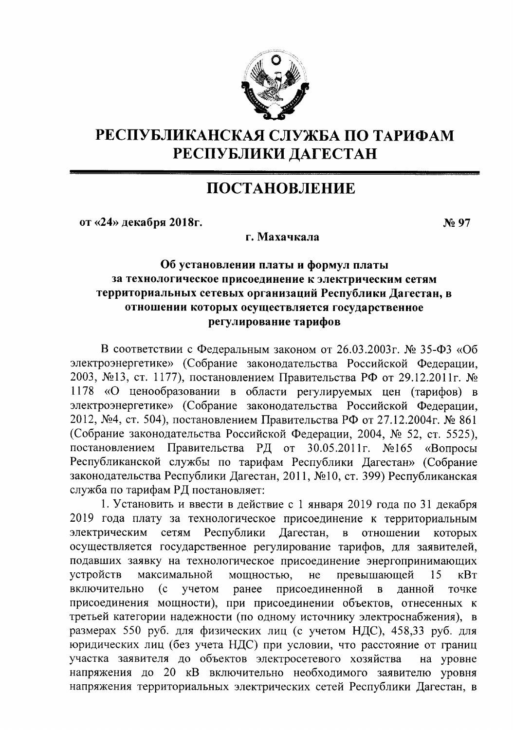

# РЕСПУБЛИКАНСКАЯ СЛУЖБА ПО ТАРИФАМ РЕСПУБЛИКИ ДАГЕСТАН

# ПОСТАНОВЛЕНИЕ

от «24» декабря 2018г.

No 97

г. Махачкала

# Об установлении платы и формул платы за технологическое присоединение к электрическим сетям территориальных сетевых организаций Республики Дагестан, в отношении которых осуществляется государственное регулирование тарифов

В соответствии с Федеральным законом от 26.03.2003г. № 35-ФЗ «Об электроэнергетике» (Собрание законодательства Российской Федерации, 2003, №13, ст. 1177), постановлением Правительства РФ от 29.12.2011г. № 1178 «О ценообразовании в области регулируемых цен (тарифов) в электроэнергетике» (Собрание законодательства Российской Федерации, 2012, №4, ст. 504), постановлением Правительства РФ от 27.12.2004г. № 861 (Собрание законодательства Российской Федерации, 2004, № 52, ст. 5525), Правительства РД от 30.05.2011г. постановлением  $N<sub>2</sub>165$ «Вопросы Республиканской службы по тарифам Республики Дагестан» (Собрание законодательства Республики Дагестан, 2011, №10, ст. 399) Республиканская служба по тарифам РД постановляет:

1. Установить и ввести в действие с 1 января 2019 года по 31 декабря 2019 года плату за технологическое присоединение к территориальным Республики электрическим сетям Дагестан,  $\mathbf{B}$ отношении которых осуществляется государственное регулирование тарифов, для заявителей, подавших заявку на технологическое присоединение энергопринимающих превышающей устройств максимальной мощностью, He 15 кВт включительно  $(c)$ учетом ранее присоединенной данной  $\overline{B}$ точке присоединения мощности), при присоединении объектов, отнесенных к третьей категории надежности (по одному источнику электроснабжения), в размерах 550 руб. для физических лиц (с учетом НДС), 458,33 руб. для юридических лиц (без учета НДС) при условии, что расстояние от границ участка заявителя до объектов электросетевого хозяйства на уровне напряжения до 20 кВ включительно необходимого заявителю уровня напряжения территориальных электрических сетей Республики Дагестан, в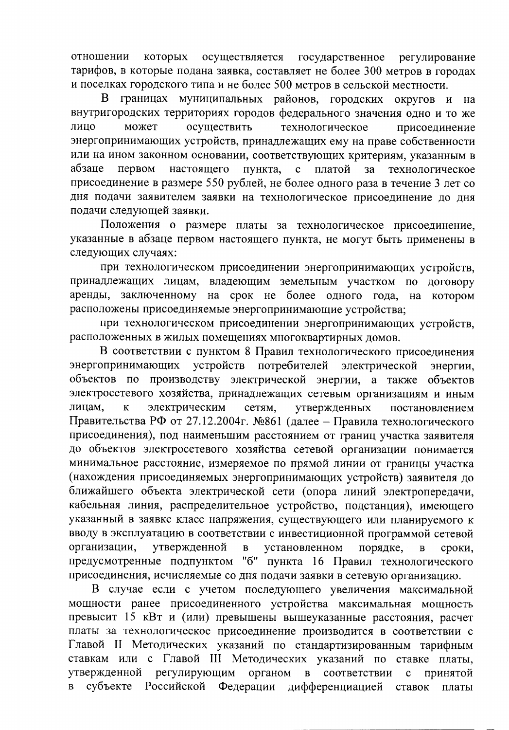отношении которых осуществляется государственное регулирование тарифов, в которые подана заявка, составляет не более 300 метров в городах и поселках городского типа и не более 500 метров в сельской местности.

В границах муниципальных районов, городских округов и на внутригородских территориях городов федерального значения одно и то же лицо может осуществить технологическое присоединение энергопринимающих устройств, принадлежащих ему на праве собственности или на ином законном основании, соответствующих критериям, указанным в первом настоящего абзаце пункта, с платой за технологическое присоединение в размере 550 рублей, не более одного раза в течение 3 лет со дня подачи заявителем заявки на технологическое присоединение до дня подачи следующей заявки.

Положения о размере платы за технологическое присоединение, указанные в абзаце первом настоящего пункта, не могут быть применены в следующих случаях:

при технологическом присоединении энергопринимающих устройств, принадлежащих лицам, владеющим земельным участком по договору аренды, заключенному на срок не более одного года, на котором расположены присоединяемые энергопринимающие устройства;

при технологическом присоединении энергопринимающих устройств, расположенных в жилых помещениях многоквартирных домов.

В соответствии с пунктом 8 Правил технологического присоединения энергопринимающих устройств потребителей электрической энергии, объектов по производству электрической энергии, а также объектов электросетевого хозяйства, принадлежащих сетевым организациям и иным лицам, электрическим  ${\bf K}$ сетям, утвержденных постановлением Правительства РФ от 27.12.2004г. №861 (далее - Правила технологического присоединения), под наименьшим расстоянием от границ участка заявителя до объектов электросетевого хозяйства сетевой организации понимается минимальное расстояние, измеряемое по прямой линии от границы участка (нахождения присоединяемых энергопринимающих устройств) заявителя до ближайшего объекта электрической сети (опора линий электропередачи, кабельная линия, распределительное устройство, подстанция), имеющего указанный в заявке класс напряжения, существующего или планируемого к вводу в эксплуатацию в соответствии с инвестиционной программой сетевой организации, утвержденной порядке,  $\mathbf{B}$ установленном  $\overline{B}$ сроки, предусмотренные подпунктом "б" пункта 16 Правил технологического присоединения, исчисляемые со дня подачи заявки в сетевую организацию.

В случае если с учетом последующего увеличения максимальной мощности ранее присоединенного устройства максимальная мощность превысит 15 кВт и (или) превышены вышеуказанные расстояния, расчет платы за технологическое присоединение производится в соответствии с Главой II Методических указаний по стандартизированным тарифным ставкам или с Главой III Методических указаний по ставке платы, утвержденной регулирующим органом соответствии принятой  $\mathbf{B}$  $\mathbf{C}$ субъекте Российской  $\overline{B}$ Федерации дифференциацией ставок платы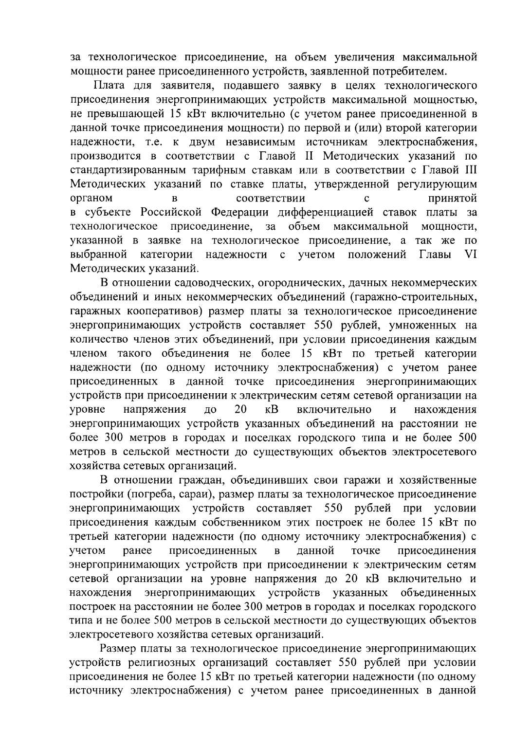за технологическое присоединение, на объем увеличения максимальной мощности ранее присоединенного устройств, заявленной потребителем.

Плата для заявителя, подавшего заявку в целях технологического присоединения энергопринимающих устройств максимальной мощностью, не превышающей 15 кВт включительно (с учетом ранее присоединенной в данной точке присоединения мощности) по первой и (или) второй категории надежности, т.е. к двум независимым источникам электроснабжения, производится в соответствии с Главой II Методических указаний по стандартизированным тарифным ставкам или в соответствии с Главой III Методических указаний по ставке платы, утвержденной регулирующим органом соответствии  $\overline{B}$  $\mathbf{c}$ принятой в субъекте Российской Федерации дифференциацией ставок платы за технологическое присоединение, за объем максимальной мощности, указанной в заявке на технологическое присоединение, а так же  $\Pi$ <sup>O</sup> выбранной учетом VI категории надежности  $\mathbf{c}$ положений Главы Методических указаний.

В отношении садоводческих, огороднических, дачных некоммерческих объединений и иных некоммерческих объединений (гаражно-строительных, гаражных кооперативов) размер платы за технологическое присоединение энергопринимающих устройств составляет 550 рублей, умноженных на количество членов этих объединений, при условии присоединения каждым членом такого объединения не более 15 кВт по третьей категории надежности (по одному источнику электроснабжения) с учетом ранее присоединенных в данной точке присоединения энергопринимающих устройств при присоединении к электрическим сетям сетевой организации на напряжения 20  $\kappa$ B включительно уровне ДО  $\overline{M}$ нахождения энергопринимающих устройств указанных объединений на расстоянии не более 300 метров в городах и поселках городского типа и не более 500 метров в сельской местности до существующих объектов электросетевого хозяйства сетевых организаций.

В отношении граждан, объединивших свои гаражи и хозяйственные постройки (погреба, сараи), размер платы за технологическое присоединение рублей энергопринимающих устройств составляет 550 при условии присоединения каждым собственником этих построек не более 15 кВт по третьей категории надежности (по одному источнику электроснабжения) с учетом ранее присоединенных присоединения  $\overline{B}$ данной точке энергопринимающих устройств при присоединении к электрическим сетям сетевой организации на уровне напряжения до 20 кВ включительно и энергопринимающих указанных нахождения устройств объединенных построек на расстоянии не более 300 метров в городах и поселках городского типа и не более 500 метров в сельской местности до существующих объектов электросетевого хозяйства сетевых организаций.

Размер платы за технологическое присоединение энергопринимающих устройств религиозных организаций составляет 550 рублей при условии присоединения не более 15 кВт по третьей категории надежности (по одному источнику электроснабжения) с учетом ранее присоединенных в данной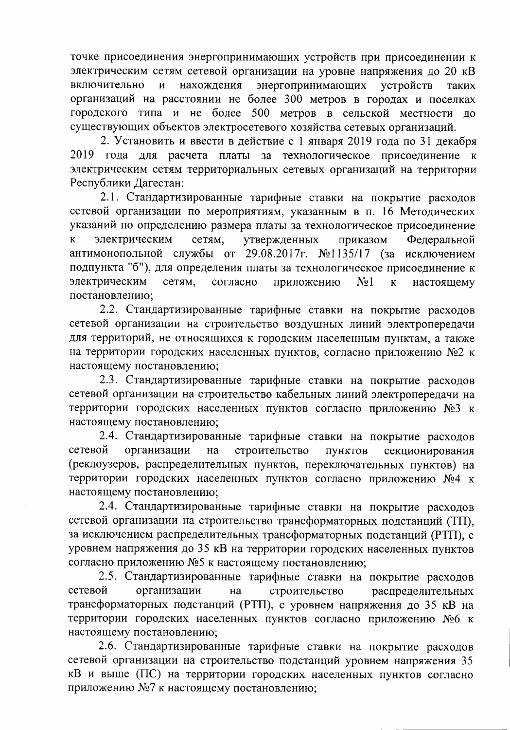точке присоединения энергопринимающих устройств при присоединении к электрическим сетям сетевой организации на уровне напряжения до 20 кВ включительно  $\overline{M}$ нахождения энергопринимающих устройств таких организаций на расстоянии не более 300 метров в городах и поселках городского типа и не более 500 метров в сельской местности до существующих объектов электросетевого хозяйства сетевых организаций.

2. Установить и ввести в действие с 1 января 2019 года по 31 декабря 2019 года для расчета платы за технологическое присоединение к электрическим сетям территориальных сетевых организаций на территории Республики Дагестан:

2.1. Стандартизированные тарифные ставки на покрытие расходов сетевой организации по мероприятиям, указанным в п. 16 Методических указаний по определению размера платы за технологическое присоединение электрическим сетям. утвержденных  $\overline{\mathbf{K}}$ приказом Федеральной антимонопольной службы от 29.08.2017г. №1135/17 (за исключением подпункта "б"), для определения платы за технологическое присоединение к электрическим сетям, согласно приложению  $N<sub>2</sub>1$ настоящему  $\mathbf{K}$ постановлению;

2.2. Стандартизированные тарифные ставки на покрытие расходов сетевой организации на строительство воздушных линий электропередачи для территорий, не относящихся к городским населенным пунктам, а также на территории городских населенных пунктов, согласно приложению №2 к настоящему постановлению;

2.3. Стандартизированные тарифные ставки на покрытие расходов сетевой организации на строительство кабельных линий электропередачи на территории городских населенных пунктов согласно приложению №3 к настоящему постановлению;

2.4. Стандартизированные тарифные ставки на покрытие расходов сетевой строительство организации на ПУНКТОВ секционирования (реклоузеров, распределительных пунктов, переключательных пунктов) на территории городских населенных пунктов согласно приложению №4 к настоящему постановлению:

2.4. Стандартизированные тарифные ставки на покрытие расходов сетевой организации на строительство трансформаторных подстанций (ТП), за исключением распределительных трансформаторных подстанций (РТП), с уровнем напряжения до 35 кВ на территории городских населенных пунктов согласно приложению №5 к настоящему постановлению;

2.5. Стандартизированные тарифные ставки на покрытие расходов сетевой организации строительство распределительных на трансформаторных подстанций (РТП), с уровнем напряжения до 35 кВ на территории городских населенных пунктов согласно приложению №6 к настоящему постановлению;

2.6. Стандартизированные тарифные ставки на покрытие расходов сетевой организации на строительство подстанций уровнем напряжения 35 кВ и выше (ПС) на территории городских населенных пунктов согласно приложению №7 к настоящему постановлению;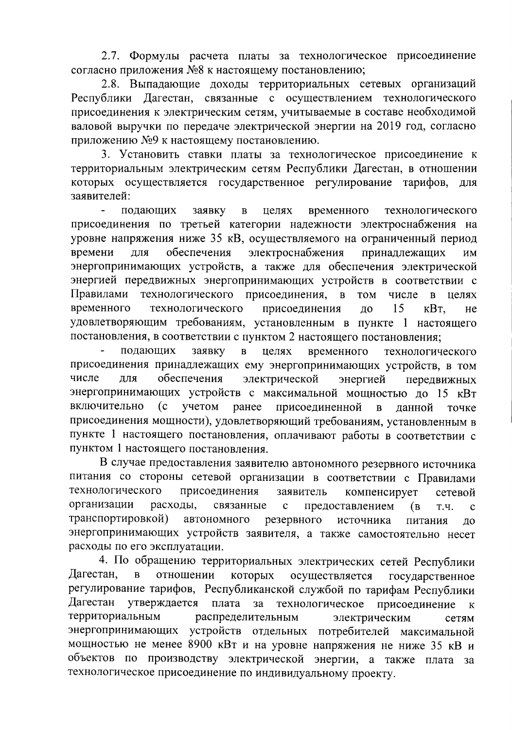2.7. Формулы расчета платы за технологическое присоединение согласно приложения №8 к настоящему постановлению;

2.8. Выпадающие доходы территориальных сетевых организаций Республики Дагестан, связанные с осуществлением технологического присоединения к электрическим сетям, учитываемые в составе необходимой валовой выручки по передаче электрической энергии на 2019 год, согласно приложению №9 к настоящему постановлению.

3. Установить ставки платы за технологическое присоединение к территориальным электрическим сетям Республики Дагестан, в отношении которых осуществляется государственное регулирование тарифов, ДЛЯ заявителей:

подающих заявку целях временного технологического  $\mathbf{B}$ присоединения по третьей категории надежности электроснабжения на уровне напряжения ниже 35 кВ, осуществляемого на ограниченный период обеспечения электроснабжения времени лля принадлежащих ИМ энергопринимающих устройств, а также для обеспечения электрической энергией передвижных энергопринимающих устройств в соответствии с Правилами технологического присоединения,  $\overline{B}$ **TOM** числе  $\overline{B}$ целях временного технологического 15 присоединения до кВт. He удовлетворяющим требованиям, установленным в пункте 1 настоящего постановления, в соответствии с пунктом 2 настоящего постановления;

подающих заявку  $\overline{B}$ целях временного технологического присоединения принадлежащих ему энергопринимающих устройств, в том числе обеспечения ДЛЯ электрической энергией передвижных энергопринимающих устройств с максимальной мощностью до 15 кВт включительно  $(c)$ учетом ранее присоединенной  $\mathbf{B}$ данной точке присоединения мощности), удовлетворяющий требованиям, установленным в пункте 1 настоящего постановления, оплачивают работы в соответствии с пунктом 1 настоящего постановления.

В случае предоставления заявителю автономного резервного источника питания со стороны сетевой организации в соответствии с Правилами технологического присоединения заявитель компенсирует сетевой организации расходы, связанные  $\mathbf{c}$ предоставлением  $(B)$ Т.Ч.  $\mathbf{c}$ транспортировкой) автономного резервного источника питания ДО энергопринимающих устройств заявителя, а также самостоятельно несет расходы по его эксплуатации.

4. По обращению территориальных электрических сетей Республики Дагестан,  $\overline{B}$ отношении которых осуществляется государственное регулирование тарифов, Республиканской службой по тарифам Республики Дагестан утверждается плата  $3a$ технологическое присоединение  $\mathbf{K}$ территориальным распределительным электрическим сетям энергопринимающих устройств отдельных потребителей максимальной мощностью не менее 8900 кВт и на уровне напряжения не ниже 35 кВ и объектов по производству электрической энергии, а также плата за технологическое присоединение по индивидуальному проекту.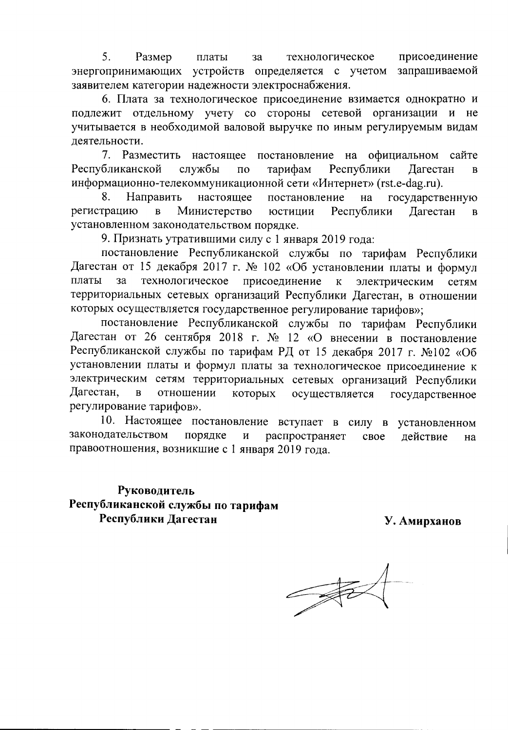5. Размер присоединение платы  $3a$ технологическое энергопринимающих устройств определяется с учетом запрашиваемой заявителем категории надежности электроснабжения.

6. Плата за технологическое присоединение взимается однократно и подлежит отдельному учету со стороны сетевой организации и He учитывается в необходимой валовой выручке по иным регулируемым видам деятельности.

на официальном 7. Разместить настоящее постановление сайте Республиканской Республики службы  $\Pi$ <sup>O</sup> тарифам Дагестан  $\mathbf{B}$ информационно-телекоммуникационной сети «Интернет» (rst.e-dag.ru).

8. Направить настоящее постановление на государственную регистрацию Министерство юстиции  $\overline{B}$ Республики Дагестан  $\bf{B}$ установленном законодательством порядке.

9. Признать утратившими силу с 1 января 2019 года:

постановление Республиканской службы по тарифам Республики Дагестан от 15 декабря 2017 г. № 102 «Об установлении платы и формул платы за технологическое присоединение электрическим  $\bf K$ сетям территориальных сетевых организаций Республики Дагестан, в отношении которых осуществляется государственное регулирование тарифов»;

постановление Республиканской службы по тарифам Республики Дагестан от 26 сентября 2018 г. № 12 «О внесении в постановление Республиканской службы по тарифам РД от 15 декабря 2017 г. №102 «Об установлении платы и формул платы за технологическое присоединение к электрическим сетям территориальных сетевых организаций Республики Дагестан,  $\overline{B}$ отношении которых осуществляется государственное регулирование тарифов».

10. Настоящее постановление вступает в силу в установленном законодательством порядке распространяет И свое действие на правоотношения, возникшие с 1 января 2019 года.

Руководитель Республиканской службы по тарифам Республики Дагестан

У. Амирханов

 $\frac{1}{\sqrt{2}}$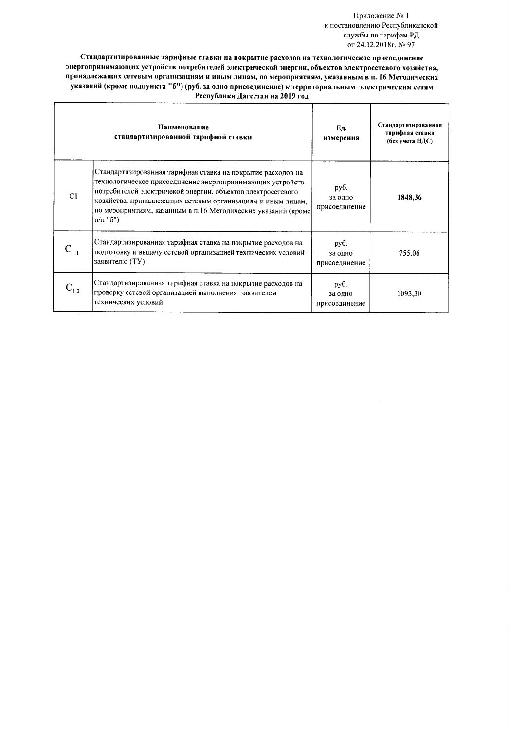### Приложение № 1 к постановлению Республиканской службы по тарифам РД от 24.12.2018г. № 97

Стандартизированные тарифные ставки на покрытие расходов на технологическое присоединение энергопринимающих устройств потребителей электрической энергии, объектов электросетевого хозяйства, принадлежащих сетевым организациям и иным лицам, по мероприятиям, указанным в п. 16 Методических указаний (кроме подпункта "б") (руб. за одно присоединение) к территориальным электрическим сетям Республики Дагестан на 2019 год

Ť

|           | Наименование<br>стандартизированной тарифной ставки                                                                                                                                                                                                                                                                                       | Eд.<br>измерения                 | Стандартизированная<br>тарифная ставка<br>(без учета НДС) |
|-----------|-------------------------------------------------------------------------------------------------------------------------------------------------------------------------------------------------------------------------------------------------------------------------------------------------------------------------------------------|----------------------------------|-----------------------------------------------------------|
| C1        | Стандартизированная тарифная ставка на покрытие расходов на<br>технологическое присоединение энергопринимающих устройств<br>потребителей электричекой энергии, объектов электросетевого<br>хозяйства, принадлежащих сетевым организациям и иным лицам,<br>по мероприятиям, казанным в п.16 Методических указаний (кроме<br>$\pi/\pi$ "6") | руб.<br>за одно<br>присоединение | 1848,36                                                   |
|           | Стандартизированная тарифная ставка на покрытие расходов на<br>подготовку и выдачу сетевой организацией технических условий<br>заявителю (ТУ)                                                                                                                                                                                             | руб.<br>за одно<br>присоединение | 755,06                                                    |
| $C_{1,2}$ | Стандартизированная тарифная ставка на покрытие расходов на<br>проверку сетевой организацией выполнения заявителем<br>технических условий                                                                                                                                                                                                 | руб.<br>за одно<br>присоединение | 1093,30                                                   |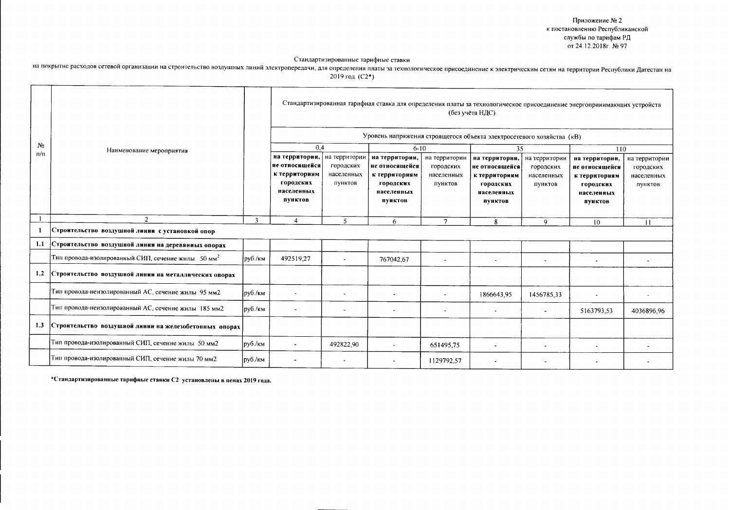Приложение № 2 к постановлению Республиканской службы по тарифам РД от 24.12.2018г. № 97

#### Стандартизированные тарифные ставки

на покрытие расходов сетевой организации на строительство воздушных линий электропередачи, для определения платы за технологическое присоединение к электрическим сетям на территории Республики Дагестан на 2019 год (С2\*)

| N <sub>2</sub> | Наименование мероприятия                                         |         | 0,4                                                                                     |                                                     | Уровень напряжения строящегося объекта электросетевого хозяйства (кВ)<br>$6 - 10$       |                                                     | (без учёта НДС)<br>35                                                                   |                                                     | Стандартизированная тарифная ставка для определения платы за технологическое присоединение энергопринимающих устройств<br>110 |                                                     |
|----------------|------------------------------------------------------------------|---------|-----------------------------------------------------------------------------------------|-----------------------------------------------------|-----------------------------------------------------------------------------------------|-----------------------------------------------------|-----------------------------------------------------------------------------------------|-----------------------------------------------------|-------------------------------------------------------------------------------------------------------------------------------|-----------------------------------------------------|
| $\pi/\pi$      |                                                                  |         | на территории,<br>не относящейся<br>к территориям<br>городских<br>населенных<br>пунктов | на территории<br>городских<br>населенных<br>ПУНКТОВ | на территории,<br>не относящейся<br>к территориям<br>городских<br>населенных<br>пунктов | на территории<br>городских<br>населенных<br>пунктов | на территории,<br>не относящейся<br>к территориям<br>городских<br>населенных<br>ПУНКТОВ | на территории<br>городских<br>населенных<br>ПУНКТОВ | на территории,<br>не относящейся<br>к территориям<br>городских<br>населенных<br>пунктов                                       | на территории<br>городских<br>населенных<br>пунктов |
|                | $\mathcal{I}$                                                    | 3       | $\mathbf{4}$                                                                            | 5                                                   | 6                                                                                       | $\mathcal{I}$                                       | 8                                                                                       | 9                                                   | 10                                                                                                                            | 11                                                  |
|                | Строительство воздушной линии с установкой опор                  |         |                                                                                         |                                                     |                                                                                         |                                                     |                                                                                         |                                                     |                                                                                                                               |                                                     |
| 1.1            | Строительство воздушной линии на деревянных опорах               |         |                                                                                         |                                                     |                                                                                         |                                                     |                                                                                         |                                                     |                                                                                                                               |                                                     |
|                | Тип провода-изолированный СИП, сечение жилы $50$ мм <sup>2</sup> | руб./км | 492519,27                                                                               | $\sim$                                              | 767042,67                                                                               | $\blacksquare$                                      | $\overline{a}$                                                                          | $\overline{\phantom{a}}$                            |                                                                                                                               |                                                     |
| 1.2            | Строительство воздушной линии на металлических опорах            |         |                                                                                         |                                                     |                                                                                         |                                                     |                                                                                         |                                                     |                                                                                                                               |                                                     |
|                | Тип провода-неизолированный АС, сечение жилы 95 мм2              | руб./км | $\sim$                                                                                  | $\sim$                                              | $\overline{\phantom{a}}$                                                                |                                                     | 1866643,95                                                                              | 1456785,33                                          |                                                                                                                               |                                                     |
|                | Тип провода-неизолированный АС, сечение жилы 185 мм2             | руб./км | $\tilde{\phantom{a}}$                                                                   | $\overline{\phantom{a}}$                            | $\overline{\phantom{a}}$                                                                | $\overline{\phantom{a}}$                            |                                                                                         | $\blacksquare$                                      | 5163793,53                                                                                                                    | 4036896.96                                          |
| 1.3            | Строительство воздушной линии на железобетонных опорах           |         |                                                                                         |                                                     |                                                                                         |                                                     |                                                                                         |                                                     |                                                                                                                               |                                                     |
|                | Тип провода-изолированный СИП, сечение жилы 50 мм2               | руб./км |                                                                                         | 492822,90                                           | $\tilde{\phantom{a}}$                                                                   | 651495,75                                           | $\sim$                                                                                  | $\tilde{\phantom{a}}$                               |                                                                                                                               |                                                     |
|                | Тип провода-изолированный СИП, сечение жилы 70 мм2               | руб./км |                                                                                         | $\overline{\phantom{a}}$                            |                                                                                         | 1129792.57                                          |                                                                                         |                                                     |                                                                                                                               |                                                     |

\*Стандартизированные тарифные ставки С2 установлены в ценах 2019 года.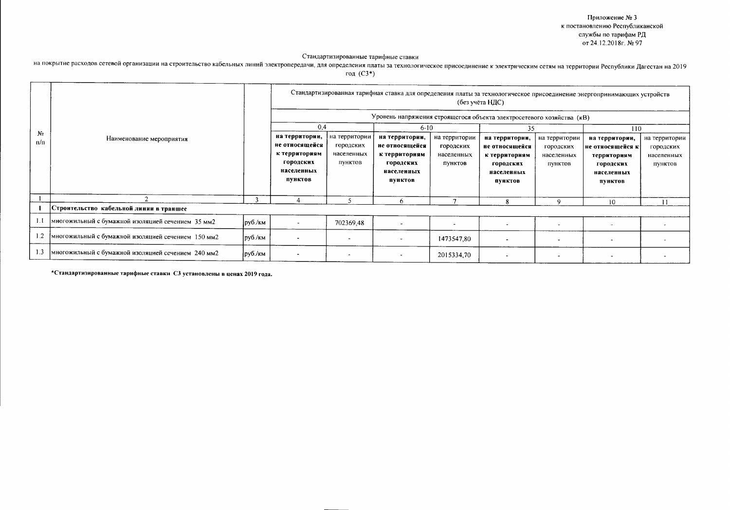Приложение № 3 к постановлению Республиканской службы по тарифам РД от 24.12.2018г. № 97

#### Стандартизированные тарифные ставки

на покрытие расходов сетевой организации на строительство кабельных линий электропередачи, для определения платы за технологическое присоединение к электрическим сетям на территории Республики Дагестан на 2019 год  $(C3^*)$ 

Стандартизированная тарифная ставка для определения платы за технологическое присоединение энергопринимающих устройств (без учёта НДС) Уровень напряжения строящегося объекта электросетевого хозяйства (кВ) 0.4  $6 - 10$ 35  $110$  $N<sub>2</sub>$ на территории, на территории на территории, на территории на территории, на территории, на территории на территории Наименование мероприятия  $\pi/\pi$ не относящейся городских не относящейся городских не относящейся городских не относящейся к городских к территориям населенных к территориям населенных к территориям населенных территориям населенных городских пунктов городских пунктов городских пунктов городских пунктов населенных населенных населенных населенных пунктов ПУНКТОВ пунктов пунктов  $\overline{2}$  $\overline{\mathbf{3}}$  $\overline{4}$  $\overline{5}$  $\overline{6}$  $\overline{7}$  $\overline{9}$  $8$  $10$  $\overline{11}$ Строительство кабельной линии в траншее  $\mathbf{1}$  $1.1\,$ многожильный с бумажной изоляцией сечением 35 мм2 руб./км 702369.48  $\overline{a}$  $\overline{a}$  $\overline{a}$  $\overline{\phantom{a}}$  $\overline{\phantom{a}}$  $\overline{a}$  $1.2$ многожильный с бумажной изоляцией сечением 150 мм2 руб./км  $\overline{a}$ 1473547,80  $\overline{\phantom{a}}$  $\ddot{\phantom{a}}$  $\overline{a}$  $1.3$ многожильный с бумажной изоляцией сечением 240 мм2 руб./км  $\overline{\phantom{a}}$ 2015334,70  $\overline{a}$  $\blacksquare$  $\omega$  $\overline{a}$  $\ddot{\phantom{a}}$  $\sim$ 

\*Стандартизированные тарифные ставки СЗ установлены в ценах 2019 года.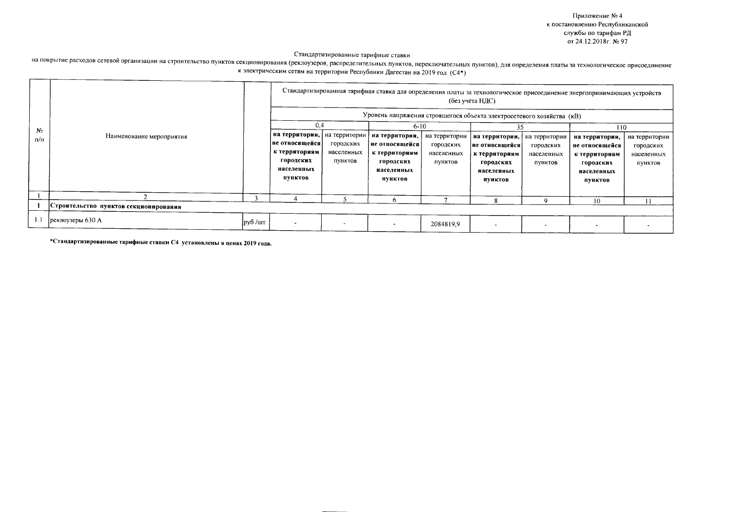Приложение №4 к постановлению Республиканской службы по тарифам РД от 24.12.2018г. № 97

## Стандартизированные тарифные ставки

# на покрытие расходов сетевой организации на строительство пунктов секционирования (реклоузеров, распределительных пунктов, переключательных пунктов), для определения платы за технологическое присоединение к электрическим сетям на территории Республики Дагестан на 2019 год (С4\*)

|              |                                       |         | Стандартизированная тарифная ставка для определения платы за технологическое присоединение энергопринимающих устройств<br>(без учёта НДС)<br>Уровень напряжения строящегося объекта электросетевого хозяйства (кВ) |                                                     |                                                                                                     |                                                     |                                                                                               |                                                     |                                                                                                |                                                     |  |  |
|--------------|---------------------------------------|---------|--------------------------------------------------------------------------------------------------------------------------------------------------------------------------------------------------------------------|-----------------------------------------------------|-----------------------------------------------------------------------------------------------------|-----------------------------------------------------|-----------------------------------------------------------------------------------------------|-----------------------------------------------------|------------------------------------------------------------------------------------------------|-----------------------------------------------------|--|--|
| $N_2$<br>n/n | Наименование мероприятия              |         | 0,4<br>на территории,<br>не относящейся<br>к территориям<br><b>ГОРОДСКИХ</b><br>населенных<br>пунктов                                                                                                              | на территории<br>городских<br>населенных<br>пунктов | $6 - 10$<br>на территории,<br>не относящейся<br>к территориям<br>городских<br>населенных<br>пунктов | на территории<br>городских<br>населенных<br>пунктов | 35<br>на территории,<br>не относящейся<br>к территориям<br>городских<br>населенных<br>пунктов | на территории<br>городских<br>населенных<br>пунктов | 110<br>на территории,<br>не относящейся<br>к территориям<br>городских<br>населенных<br>ПУНКТОВ | на территории<br>городских<br>населенных<br>пунктов |  |  |
|              |                                       |         |                                                                                                                                                                                                                    |                                                     | 6                                                                                                   |                                                     | я                                                                                             |                                                     | 10                                                                                             | $\mathbf{11}$                                       |  |  |
|              | Строительство пунктов секционирования |         |                                                                                                                                                                                                                    |                                                     |                                                                                                     |                                                     |                                                                                               |                                                     |                                                                                                |                                                     |  |  |
|              | реклоузеры 630 А                      | руб /шт | $\overline{\phantom{a}}$                                                                                                                                                                                           | $\overline{\phantom{a}}$                            | $\overline{\phantom{a}}$                                                                            | 2084819.9                                           |                                                                                               |                                                     |                                                                                                |                                                     |  |  |

\*Стандартизированные тарифные ставки С4 установлены в ценах 2019 года.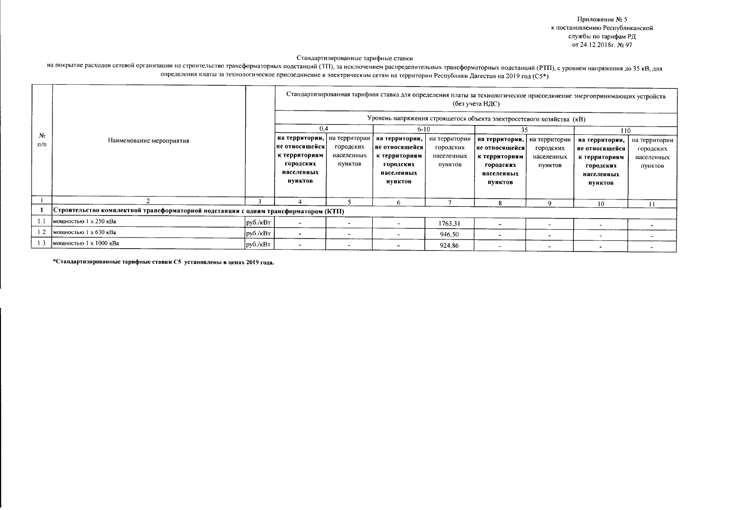Приложение № 5 к постановлению Республиканской службы по тарифам РД от 24.12.2018г. № 97

Стандартизированные тарифные ставки

на покрытие расходов сетевой организации на строительство трансформаторных подстанций (ТП), за исключением распределительных трансформаторных подстанций (РТП), с уровнем напряжения до 35 кВ, для определения платы за технологическое присоединение к электрическим сетям на территории Республики Дагестан на 2019 год (C5\*)

| Nº<br>п/п | Наименование мероприятия                                                            |                             | Стандартизированная тарифная ставка для определения платы за технологическое присоединение энергопринимающих устройств<br>(без учёта НДС)<br>Уровень напряжения строящегося объекта электросетевого хозяйства (кВ)<br>0.4<br>$6 - 10$<br>35<br>110 |                                    |                                                                                         |                                                     |                                                                                          |                                                     |                                                                                         |                                                     |  |
|-----------|-------------------------------------------------------------------------------------|-----------------------------|----------------------------------------------------------------------------------------------------------------------------------------------------------------------------------------------------------------------------------------------------|------------------------------------|-----------------------------------------------------------------------------------------|-----------------------------------------------------|------------------------------------------------------------------------------------------|-----------------------------------------------------|-----------------------------------------------------------------------------------------|-----------------------------------------------------|--|
|           |                                                                                     |                             | на территории, на территории<br> не относящейся<br>к территориям<br>городских<br>населенных<br>пунктов                                                                                                                                             | городских<br>населенных<br>пунктов | на территории,<br>не относящейся<br>к территориям<br>городских<br>населенных<br>пунктов | на территории<br>городских<br>населенных<br>пунктов | на территории,<br> не относящейся<br>к территориям<br>городских<br>населенных<br>пунктов | на территории<br>городских<br>населенных<br>пунктов | на территории,<br>не относящейся<br>к территориям<br>городских<br>населенных<br>пунктов | на территории<br>городских<br>населенных<br>пунктов |  |
|           |                                                                                     |                             |                                                                                                                                                                                                                                                    |                                    | 6                                                                                       |                                                     | 8                                                                                        | ۹                                                   | 10                                                                                      | 11                                                  |  |
|           | Строительство комплектной трансформаторной подстанции с одним трансформатором (КТП) |                             |                                                                                                                                                                                                                                                    |                                    |                                                                                         |                                                     |                                                                                          |                                                     |                                                                                         |                                                     |  |
|           | мощностью 1 х 250 кВа                                                               | руб./кВт                    |                                                                                                                                                                                                                                                    |                                    |                                                                                         | 1763.31                                             |                                                                                          | $\blacksquare$                                      |                                                                                         |                                                     |  |
|           | мощностью 1 х 630 кВа                                                               | py6./kBT                    |                                                                                                                                                                                                                                                    | $\overline{a}$                     | ۰                                                                                       | 946,50                                              |                                                                                          | $\ddot{\phantom{1}}$                                |                                                                                         |                                                     |  |
| 1.3       | мощностью 1 х 1000 кВа                                                              | $ p\gamma 6./\kappa B\tau $ |                                                                                                                                                                                                                                                    |                                    |                                                                                         | 924,86                                              |                                                                                          |                                                     |                                                                                         |                                                     |  |

\*Стандартизированные тарифные ставки С5 установлены в ценах 2019 года.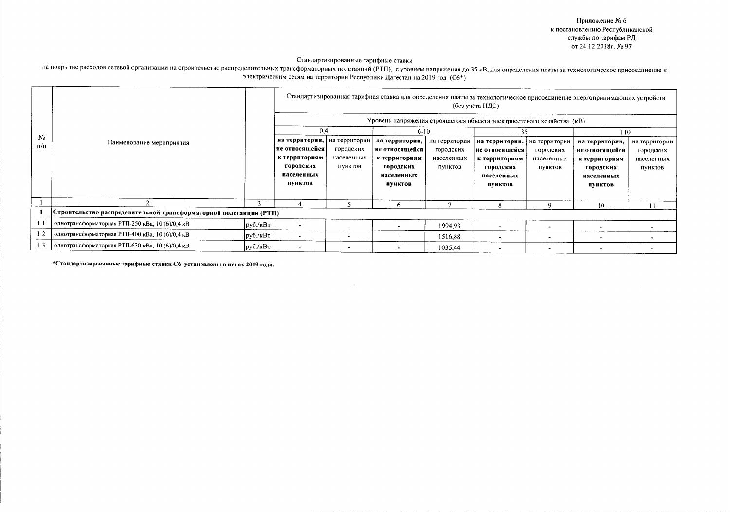Приложение № 6 к постановлению Республиканской службы по тарифам РД от 24.12.2018г. № 97

Стандартизированные тарифные ставки

на покрытие расходов сетевой организации на строительство распределительных трансформаторных подстанций (РТП), с уровнем напряжения до 35 кВ, для определения платы за технологическое присоединение к электрическим сетям на территории Республики Дагестан на 2019 год (С6\*)

|                   | Наименование мероприятия                                          |          | Стандартизированная тарифная ставка для определения платы за технологическое присоединение энергопринимающих устройств<br>(без учёта НДС)<br>Уровень напряжения строящегося объекта электросетевого хозяйства (кВ) |                                                     |                                                                                                     |                                                     |                                                                                                |                                                     |                                                                                                |                                                     |  |  |
|-------------------|-------------------------------------------------------------------|----------|--------------------------------------------------------------------------------------------------------------------------------------------------------------------------------------------------------------------|-----------------------------------------------------|-----------------------------------------------------------------------------------------------------|-----------------------------------------------------|------------------------------------------------------------------------------------------------|-----------------------------------------------------|------------------------------------------------------------------------------------------------|-----------------------------------------------------|--|--|
| $\sqrt{2}$<br>л/п |                                                                   |          | 0,4<br>на территории,<br>не относящейся<br>к территориям<br>городских<br>населенных<br>пунктов                                                                                                                     | на территории<br>городских<br>населенных<br>пунктов | $6 - 10$<br>на территории,<br>не относящейся<br>к территориям<br>городских<br>населенных<br>пунктов | на территории<br>городских<br>населенных<br>пунктов | 35<br>на территории,<br> не относящейся<br>к территориям<br>городских<br>населенных<br>пунктов | на территории<br>городских<br>населенных<br>пунктов | 110<br>на территории,<br>не относящейся<br>к территориям<br>городских<br>населенных<br>пунктов | на территории<br>городских<br>населенных<br>пунктов |  |  |
|                   |                                                                   |          |                                                                                                                                                                                                                    |                                                     | 6                                                                                                   |                                                     | 8                                                                                              | 9                                                   | 10                                                                                             |                                                     |  |  |
|                   | Строительство распределительной трансформаторной подстанции (РТП) |          |                                                                                                                                                                                                                    |                                                     |                                                                                                     |                                                     |                                                                                                |                                                     |                                                                                                |                                                     |  |  |
|                   | однотрансформаторная РТП-250 кВа, 10 (6)/0.4 кВ                   | руб./кВт |                                                                                                                                                                                                                    |                                                     | $\overline{\phantom{a}}$                                                                            | 1994.93                                             | $\overline{\phantom{0}}$                                                                       |                                                     |                                                                                                |                                                     |  |  |
| 1.2               | однотрансформаторная РТП-400 кВа, 10 (6)/0,4 кВ                   | руб./кВт |                                                                                                                                                                                                                    | $\bullet$                                           | $\overline{\phantom{a}}$                                                                            | 1516,88                                             | $\bullet$                                                                                      |                                                     |                                                                                                |                                                     |  |  |
|                   | однотрансформаторная РТП-630 кВа, 10 (6)/0,4 кВ                   | руб./кВт |                                                                                                                                                                                                                    |                                                     |                                                                                                     | 1035,44                                             |                                                                                                |                                                     |                                                                                                |                                                     |  |  |

\*Стандартизированные тарифные ставки Сб установлены в ценах 2019 года.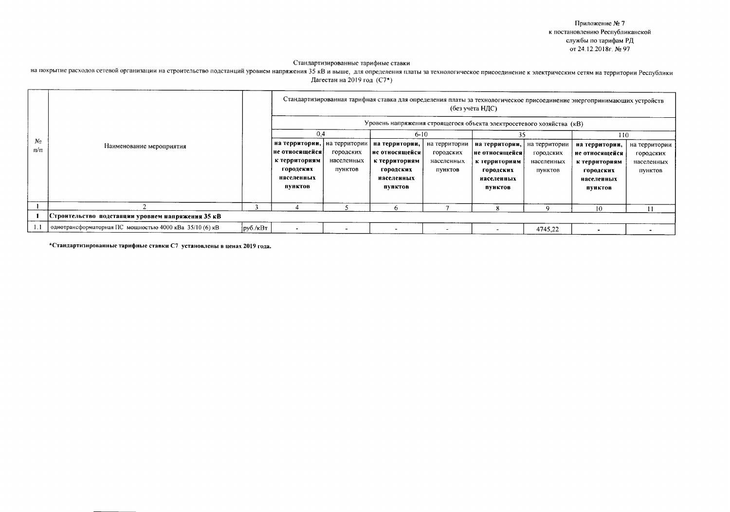Приложение № 7 к постановлению Республиканской службы по тарифам РД от 24.12.2018г. № 97

# Стандартизированные тарифные ставки

на покрытие расходов сетевой организации на строительство подстанций уровнем напряжения 35 кВ и выше, для определения платы за технологическое присоединение к электрическим сетям на территории Республики Дагестан на 2019 год (С7\*)

|            |                                                         |                                        | Стандартизированная тарифная ставка для определения платы за технологическое присоединение энергопринимающих устройств<br>(без учёта НДС) |                                    |                                                                                         |                                                     |                                                                                         |                                                     |                                                                                         |                                                     |  |
|------------|---------------------------------------------------------|----------------------------------------|-------------------------------------------------------------------------------------------------------------------------------------------|------------------------------------|-----------------------------------------------------------------------------------------|-----------------------------------------------------|-----------------------------------------------------------------------------------------|-----------------------------------------------------|-----------------------------------------------------------------------------------------|-----------------------------------------------------|--|
|            |                                                         |                                        | Уровень напряжения строящегося объекта электросетевого хозяйства (кВ)                                                                     |                                    |                                                                                         |                                                     |                                                                                         |                                                     |                                                                                         |                                                     |  |
|            |                                                         |                                        | 0.4                                                                                                                                       |                                    | $6 - 10$                                                                                |                                                     |                                                                                         |                                                     | 110                                                                                     |                                                     |  |
| No.<br>п/п | Наименование мероприятия                                |                                        | на территории,   на территории<br> не относящейся <br>к территориям<br>городских<br>населенных<br>пунктов                                 | городских<br>населенных<br>пунктов | на территории,<br>не относящейся<br>к территориям<br>городских<br>населенных<br>пунктов | на территории<br>городских<br>населенных<br>пунктов | на территории,<br>не относящейся<br>к территориям<br>городских<br>населенных<br>пунктов | на территории<br>городских<br>населенных<br>пунктов | на территории,<br>не относящейся<br>к территориям<br>городских<br>населенных<br>пунктов | на территории<br>городских<br>населенных<br>пунктов |  |
|            |                                                         |                                        |                                                                                                                                           |                                    | n                                                                                       |                                                     | 8                                                                                       |                                                     | 10                                                                                      | $\overline{11}$                                     |  |
|            | Строительство подстанции уровнем напряжения 35 кВ       |                                        |                                                                                                                                           |                                    |                                                                                         |                                                     |                                                                                         |                                                     |                                                                                         |                                                     |  |
|            | однотрансформаторная ПС мощностью 4000 кВа 35/10 (6) кВ | $\frac{1}{2}$ py 6./ $\kappa$ B $\tau$ |                                                                                                                                           |                                    |                                                                                         | $\overline{\phantom{a}}$                            |                                                                                         | 4745,22                                             |                                                                                         |                                                     |  |

\*Стандартизированные тарифные ставки С7 установлены в ценах 2019 года.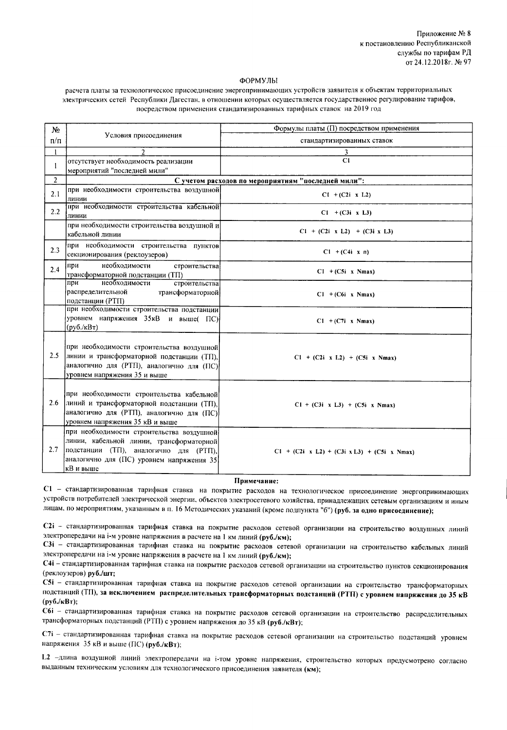#### ФОРМУЛЫ

расчета платы за технологическое присоединение энергопринимающих устройств заявителя к объектам территориальных электрических сетей Республики Дагестан, в отношении которых осуществляется государственное регулирование тарифов, посредством применения стандатизированных тарифных ставок на 2019 год

| Nº.            |                                                                                                                                                                                            | Формулы платы (П) посредством применения                     |
|----------------|--------------------------------------------------------------------------------------------------------------------------------------------------------------------------------------------|--------------------------------------------------------------|
| $\pi/\pi$      | Условия присоединения                                                                                                                                                                      | стандартизированных ставок                                   |
|                | $\overline{2}$                                                                                                                                                                             | 3                                                            |
| $\mathbf{I}$   | отсутствует необходимость реализации                                                                                                                                                       | C1                                                           |
|                | мероприятий "последней мили"                                                                                                                                                               |                                                              |
| $\overline{2}$ |                                                                                                                                                                                            | С учетом расходов по мероприятиям "последней мили":          |
| 2.1            | при необходимости строительства воздушной<br>линии                                                                                                                                         | $CI + (C2i \times L2)$                                       |
| 2.2            | при необходимости строительства кабельной<br>линии                                                                                                                                         | $Cl + (C3i \times L3)$                                       |
|                | при необходимости строительства воздушной и<br>кабельной линии                                                                                                                             | $C1 + (C2i \times L2) + (C3i \times L3)$                     |
| 2.3            | при необходимости строительства пунктов<br>секционирования (реклоузеров)                                                                                                                   | $C1 + (C4i \times n)$                                        |
| 2.4            | необходимости<br>при<br>строительства<br>трансформаторной подстанции (ТП)                                                                                                                  | $C1 + (C5i \times Nmax)$                                     |
|                | необходимости<br>строительства<br>при<br>распределительной<br>трансформаторной<br>подстанции (РТП)                                                                                         | $C1 + (C6i \times Nmax)$                                     |
|                | при необходимости строительства подстанции<br>уровнем напряжения 35 кВ и выше(ПС)<br>$(py6./\kappa B\tau)$                                                                                 | $C1 + (C7i \times Nmax)$                                     |
| 2.5            | при необходимости строительства воздушной<br>линии и трансформаторной подстанции (ТП),<br>аналогично для (РТП), аналогично для (ПС)<br>уровнем напряжения 35 и выше                        | $C1 + (C2i \times L2) + (C5i \times Nmax)$                   |
| 2.6            | при необходимости строительства кабельной<br>линий и трансформаторной подстанции (TII),<br>аналогично для (РТП), аналогично для (ПС)<br>уровнем напряжения 35 кВ и выше                    | $C1 + (C3i \times L3) + (C5i \times Nmax)$                   |
| 2.7            | при необходимости строительства воздушной<br>линии, кабельной линии, трансформаторной<br> подстанции (ТП), аналогично для (РТП),<br>аналогично для (ПС) уровнем напряжения 35<br>кВ и выше | $C1 + (C2i \times L2) + (C3i \times L3) + (C5i \times Nmax)$ |

#### Примечание:

С1 - стандартизированная тарифная ставка на покрытие расходов на технологическое присоединение энергопринимающих устройств потребителей электрической энергии, объектов электросетевого хозяйства, принадлежащих сетевым организациям и иным лицам, по мероприятиям, указанным в п. 16 Методических указаний (кроме подпункта "б") (руб. за одно присоединение);

С2і - стандартизированная тарифная ставка на покрытие расходов сетевой организации на строительство воздушных линий электропередачи на i-м уровне напряжения в расчете на 1 км линий (руб./км);

С3i - стандартизированная тарифная ставка на покрытие расходов сетевой организации на строительство кабельных линий электропередачи на i-м уровне напряжения в расчете на 1 км линий (руб./км);

С4і - стандартизированная тарифная ставка на покрытие расходов сетевой организации на строительство пунктов секционирования (реклоузеров) руб./шт;

С5i - стандартизированная тарифная ставка на покрытие расходов сетевой организации на строительство трансформаторных подстанций (ТП), за исключением распределительных трансформаторных подстанций (РТП) с уровнем напряжения до 35 кВ  $(py6./\kappa B\tau);$ 

С6і - стандартизированная тарифная ставка на покрытие расходов сетевой организации на строительство распределительных трансформаторных подстанций (РТП) с уровнем напряжения до 35 кВ (руб./кВт);

С7і - стандартизированная тарифная ставка на покрытие расходов сетевой организации на строительство подстанций уровнем напряжения 35 кВ и выше (ПС) (руб./кВт);

L2 -длина воздушной линий электропередачи на i-том уровне напряжения, строительство которых предусмотрено согласно выданным техническим условиям для технологического присоединения заявителя (км);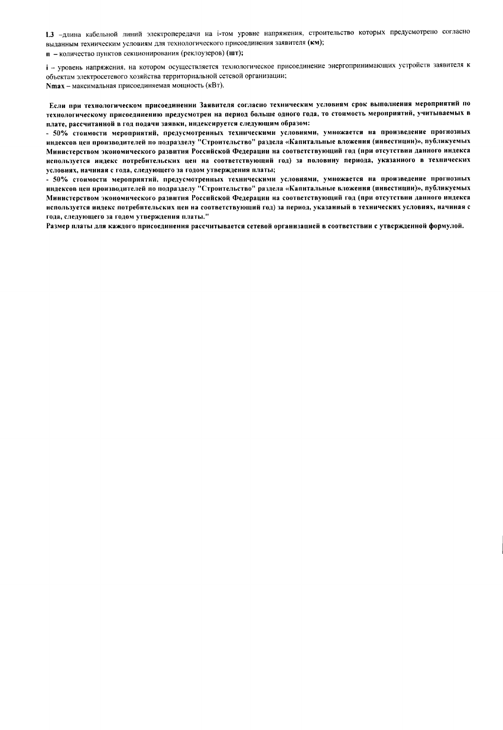1.3 -длина кабельной линий электропередачи на i-том уровне напряжения, строительство которых предусмотрено согласно выданным техническим условиям для технологического присоединения заявителя (км);

п - количество пунктов секционирования (реклоузеров) (шт);

і - уровень напряжения, на котором осуществляется технологическое присоединение энергопринимающих устройств заявителя к объектам электросетевого хозяйства территориальной сетевой организации; Nmax - максимальная присоединяемая мощность (кВт).

Если при технологическом присоединении Заявителя согласно техническим условиям срок выполнения мероприятий по технологическому присоединению предусмотрен на период больше одного года, то стоимость мероприятий, учитываемых в плате, рассчитанной в год подачи заявки, индексируется следующим образом:

- 50% стоимости мероприятий, предусмотренных техническими условиями, умножается на произведение прогнозных индексов цен производителей по подразделу "Строительство" раздела «Капитальные вложения (инвестиции)», публикуемых Министерством экономического развития Российской Федерации на соответствующий год (при отсутствии данного индекса используется индекс потребительских цен на соответствующий год) за половину периода, указанного в технических условиях, начиная с года, следующего за годом утверждения платы;

- 50% стоимости мероприятий, предусмотренных техническими условиями, умножается на произведение прогнозных индексов цен производителей по подразделу "Строительство" раздела «Капитальные вложения (инвестиции)», публикуемых Министерством экономического развития Российской Федерации на соответствующий год (при отсутствии данного индекса используется индекс потребительских цен на соответствующий год) за период, указанный в технических условиях, начиная с года, следующего за годом утверждения платы."

Размер платы для каждого присоединения рассчитывается сетевой организацией в соответствии с утвержденной формулой.